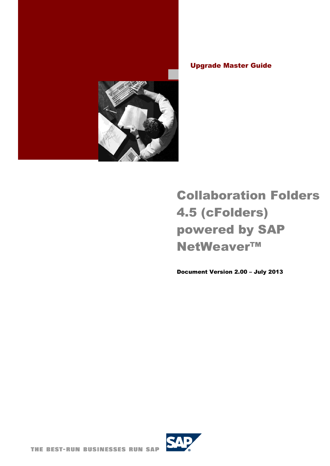

Upgrade Master Guide

# Collaboration Folders 4.5 (cFolders) powered by SAP NetWeaver™

Document Version 2.00 – July 2013

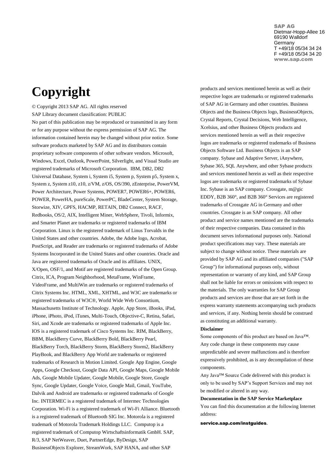SAP AG Dietmar-Hopp-Allee 16 69190 Walldorf Germany T +49/18 05/34 34 24 F +49/18 05/34 34 20 www.sap.com

# **Copyright**

© Copyright 2013 SAP AG. All rights reserved SAP Library document classification: PUBLIC No part of this publication may be reproduced or transmitted in any form or for any purpose without the express permission of SAP AG. The information contained herein may be changed without prior notice. Some software products marketed by SAP AG and its distributors contain proprietary software components of other software vendors. Microsoft, Windows, Excel, Outlook, PowerPoint, Silverlight, and Visual Studio are registered trademarks of Microsoft Corporation. IBM, DB2, DB2 Universal Database, System i, System i5, System p, System p5, System x, System z, System z10, z10, z/VM, z/OS, OS/390, zEnterprise, PowerVM, Power Architecture, Power Systems, POWER7, POWER6+, POWER6, POWER, PowerHA, pureScale, PowerPC, BladeCenter, System Storage, Storwize, XIV, GPFS, HACMP, RETAIN, DB2 Connect, RACF, Redbooks, OS/2, AIX, Intelligent Miner, WebSphere, Tivoli, Informix, and Smarter Planet are trademarks or registered trademarks of IBM Corporation. Linux is the registered trademark of Linus Torvalds in the United States and other countries. Adobe, the Adobe logo, Acrobat, PostScript, and Reader are trademarks or registered trademarks of Adobe Systems Incorporated in the United States and other countries. Oracle and Java are registered trademarks of Oracle and its affiliates. UNIX, X/Open, OSF/1, and Motif are registered trademarks of the Open Group. Citrix, ICA, Program Neighborhood, MetaFrame, WinFrame, VideoFrame, and MultiWin are trademarks or registered trademarks of Citrix Systems Inc. HTML, XML, XHTML, and W3C are trademarks or registered trademarks of W3C®, World Wide Web Consortium, Massachusetts Institute of Technology. Apple, App Store, iBooks, iPad, iPhone, iPhoto, iPod, iTunes, Multi-Touch, Objective-C, Retina, Safari, Siri, and Xcode are trademarks or registered trademarks of Apple Inc. IOS is a registered trademark of Cisco Systems Inc. RIM, BlackBerry, BBM, BlackBerry Curve, BlackBerry Bold, BlackBerry Pearl, BlackBerry Torch, BlackBerry Storm, BlackBerry Storm2, BlackBerry PlayBook, and BlackBerry App World are trademarks or registered trademarks of Research in Motion Limited. Google App Engine, Google Apps, Google Checkout, Google Data API, Google Maps, Google Mobile Ads, Google Mobile Updater, Google Mobile, Google Store, Google Sync, Google Updater, Google Voice, Google Mail, Gmail, YouTube, Dalvik and Android are trademarks or registered trademarks of Google Inc. INTERMEC is a registered trademark of Intermec Technologies Corporation. Wi-Fi is a registered trademark of Wi-Fi Alliance. Bluetooth is a registered trademark of Bluetooth SIG Inc. Motorola is a registered trademark of Motorola Trademark Holdings LLC. Computop is a registered trademark of Computop Wirtschaftsinformatik GmbH. SAP, R/3, SAP NetWeaver, Duet, PartnerEdge, ByDesign, SAP BusinessObjects Explorer, StreamWork, SAP HANA, and other SAP

products and services mentioned herein as well as their respective logos are trademarks or registered trademarks of SAP AG in Germany and other countries. Business Objects and the Business Objects logo, BusinessObjects, Crystal Reports, Crystal Decisions, Web Intelligence, Xcelsius, and other Business Objects products and services mentioned herein as well as their respective logos are trademarks or registered trademarks of Business Objects Software Ltd. Business Objects is an SAP company. Sybase and Adaptive Server, iAnywhere, Sybase 365, SQL Anywhere, and other Sybase products and services mentioned herein as well as their respective logos are trademarks or registered trademarks of Sybase Inc. Sybase is an SAP company. Crossgate, m@gic EDDY, B2B 360°, and B2B 360° Services are registered trademarks of Crossgate AG in Germany and other countries. Crossgate is an SAP company. All other product and service names mentioned are the trademarks of their respective companies. Data contained in this document serves informational purposes only. National product specifications may vary. These materials are subject to change without notice. These materials are provided by SAP AG and its affiliated companies ("SAP Group") for informational purposes only, without representation or warranty of any kind, and SAP Group shall not be liable for errors or omissions with respect to the materials. The only warranties for SAP Group products and services are those that are set forth in the express warranty statements accompanying such products and services, if any. Nothing herein should be construed as constituting an additional warranty.

### **Disclaimer**

Some components of this product are based on Java™. Any code change in these components may cause unpredictable and severe malfunctions and is therefore expressively prohibited, as is any decompilation of these components.

Any Java™ Source Code delivered with this product is only to be used by SAP's Support Services and may not be modified or altered in any way.

**Documentation in the SAP Service Marketplace**

You can find this documentation at the following Internet address:

service.sap.com/instguides.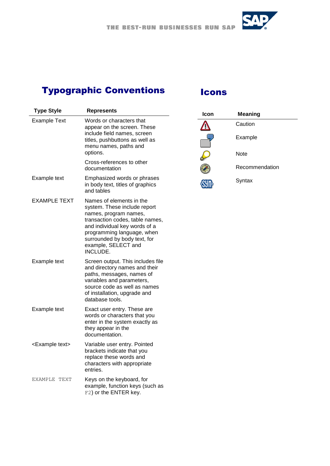

## Typographic Conventions

| <b>Type Style</b>           | <b>Represents</b>                                                                                                                                                                                                                                      |
|-----------------------------|--------------------------------------------------------------------------------------------------------------------------------------------------------------------------------------------------------------------------------------------------------|
| <b>Example Text</b>         | Words or characters that<br>appear on the screen. These<br>include field names, screen<br>titles, pushbuttons as well as<br>menu names, paths and<br>options.                                                                                          |
|                             | Cross-references to other<br>documentation                                                                                                                                                                                                             |
| Example text                | Emphasized words or phrases<br>in body text, titles of graphics<br>and tables                                                                                                                                                                          |
| <b>EXAMPLE TEXT</b>         | Names of elements in the<br>system. These include report<br>names, program names,<br>transaction codes, table names,<br>and individual key words of a<br>programming language, when<br>surrounded by body text, for<br>example, SELECT and<br>INCLUDE. |
| Example text                | Screen output. This includes file<br>and directory names and their<br>paths, messages, names of<br>variables and parameters,<br>source code as well as names<br>of installation, upgrade and<br>database tools.                                        |
| Example text                | Exact user entry. These are<br>words or characters that you<br>enter in the system exactly as<br>they appear in the<br>documentation.                                                                                                                  |
| <example text=""></example> | Variable user entry. Pointed<br>brackets indicate that you<br>replace these words and<br>characters with appropriate<br>entries.                                                                                                                       |
| EXAMPLE TEXT                | Keys on the keyboard, for<br>example, function keys (such as<br>F <sub>2</sub> ) or the ENTER key.                                                                                                                                                     |

## **Icons**

| Icon | <b>Meaning</b> |
|------|----------------|
|      | Caution        |
|      | Example        |
|      | Note           |
|      | Recommendation |
|      | Syntax         |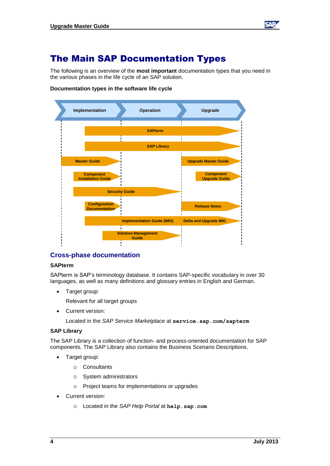

## The Main SAP Documentation Types

The following is an overview of the **most important** documentation types that you need in the various phases in the life cycle of an SAP solution.

### **Documentation types in the software life cycle**



## **Cross-phase documentation**

### **SAPterm**

SAPterm is SAP's terminology database. It contains SAP-specific vocabulary in over 30 languages, as well as many definitions and glossary entries in English and German.

Target group:

Relevant for all target groups

Current version:

Located in the *SAP Service Marketplace* at **service.sap.com/sapterm**

### **SAP Library**

The SAP Library is a collection of function- and process-oriented documentation for SAP components. The SAP Library also contains the Business Scenario Descriptions.

- Target group:
	- Consultants
	- System administrators
	- Project teams for implementations or upgrades
- Current version:
	- Located in the *SAP Help Portal* at **help.sap.com**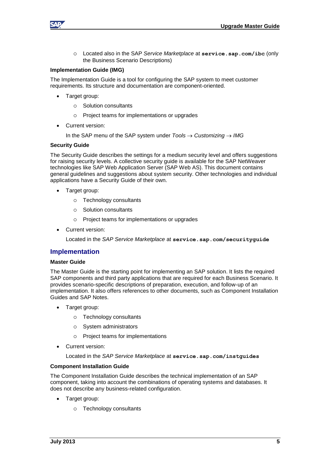

 Located also in the SAP *Service Marketplace* at **service.sap.com/ibc** (only the Business Scenario Descriptions)

### **Implementation Guide (IMG)**

The Implementation Guide is a tool for configuring the SAP system to meet customer requirements. Its structure and documentation are component-oriented.

- Target group:
	- o Solution consultants
	- Project teams for implementations or upgrades
- Current version:

In the SAP menu of the SAP system under *Tools Customizing IMG*

### **Security Guide**

The Security Guide describes the settings for a medium security level and offers suggestions for raising security levels. A collective security guide is available for the SAP NetWeaver technologies like SAP Web Application Server (SAP Web AS). This document contains general guidelines and suggestions about system security. Other technologies and individual applications have a Security Guide of their own.

- Target group:
	- Technology consultants
	- Solution consultants
	- Project teams for implementations or upgrades
- Current version:

Located in the *SAP Service Marketplace* at **service.sap.com/securityguide**

### **Implementation**

### **Master Guide**

The Master Guide is the starting point for implementing an SAP solution. It lists the required SAP components and third party applications that are required for each Business Scenario. It provides scenario-specific descriptions of preparation, execution, and follow-up of an implementation. It also offers references to other documents, such as Component Installation Guides and SAP Notes.

- Target group:
	- Technology consultants
	- System administrators
	- Project teams for implementations
- Current version:

Located in the *SAP Service Marketplace* at **service.sap.com/instguides**

### **Component Installation Guide**

The Component Installation Guide describes the technical implementation of an SAP component, taking into account the combinations of operating systems and databases. It does not describe any business-related configuration.

- Target group:
	- Technology consultants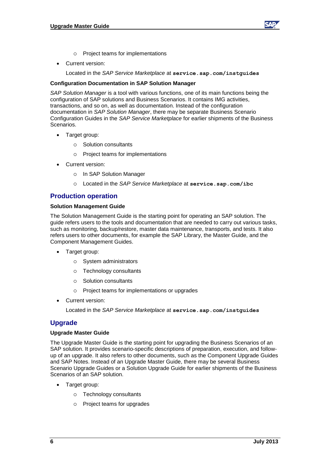

- Project teams for implementations
- Current version:

Located in the *SAP Service Marketplace* at **service.sap.com/instguides**

### **Configuration Documentation in SAP Solution Manager**

*SAP Solution Manager* is a tool with various functions, one of its main functions being the configuration of SAP solutions and Business Scenarios. It contains IMG activities, transactions, and so on, as well as documentation. Instead of the configuration documentation in *SAP Solution Manager*, there may be separate Business Scenario Configuration Guides in the *SAP Service Marketplace* for earlier shipments of the Business Scenarios.

- Target group:
	- o Solution consultants
	- Project teams for implementations
- Current version:
	- o In SAP Solution Manager
	- Located in the *SAP Service Marketplace* at **service.sap.com/ibc**

## **Production operation**

### **Solution Management Guide**

The Solution Management Guide is the starting point for operating an SAP solution. The guide refers users to the tools and documentation that are needed to carry out various tasks, such as monitoring, backup/restore, master data maintenance, transports, and tests. It also refers users to other documents, for example the SAP Library, the Master Guide, and the Component Management Guides.

- Target group:
	- System administrators
	- Technology consultants
	- o Solution consultants
	- Project teams for implementations or upgrades
- Current version:

Located in the *SAP Service Marketplace* at **service.sap.com/instguides**

## **Upgrade**

### **Upgrade Master Guide**

The Upgrade Master Guide is the starting point for upgrading the Business Scenarios of an SAP solution. It provides scenario-specific descriptions of preparation, execution, and followup of an upgrade. It also refers to other documents, such as the Component Upgrade Guides and SAP Notes. Instead of an Upgrade Master Guide, there may be several Business Scenario Upgrade Guides or a Solution Upgrade Guide for earlier shipments of the Business Scenarios of an SAP solution.

- Target group:
	- Technology consultants
	- Project teams for upgrades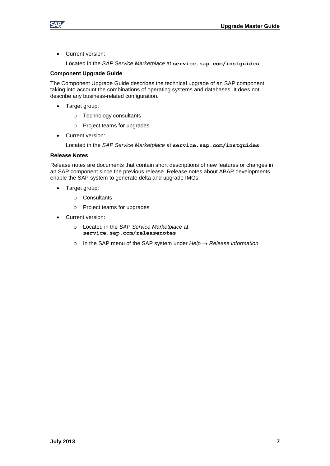

Current version:

Located in the *SAP Service Marketplace* at **service.sap.com/instguides**

### **Component Upgrade Guide**

The Component Upgrade Guide describes the technical upgrade of an SAP component, taking into account the combinations of operating systems and databases. It does not describe any business-related configuration.

- Target group:
	- Technology consultants
	- Project teams for upgrades
- **•** Current version:

Located in the *SAP Service Marketplace* at **service.sap.com/instguides**

### **Release Notes**

Release notes are documents that contain short descriptions of new features or changes in an SAP component since the previous release. Release notes about ABAP developments enable the SAP system to generate delta and upgrade IMGs.

- Target group:
	- Consultants
	- Project teams for upgrades
- Current version:
	- Located in the *SAP Service Marketplace* at **service.sap.com/releasenotes**
	- In the SAP menu of the SAP system under *Help Release information*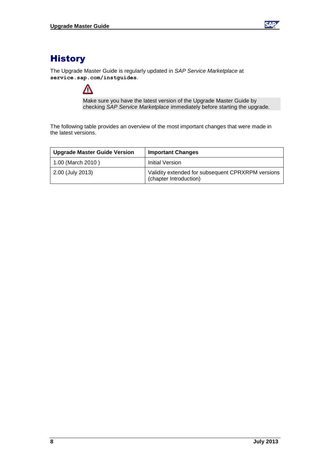

## **History**

The Upgrade Master Guide is regularly updated in *SAP Service Marketplace* at **service.sap.com/instguides**.



Make sure you have the latest version of the Upgrade Master Guide by checking *SAP Service Marketplace* immediately before starting the upgrade.

The following table provides an overview of the most important changes that were made in the latest versions.

| <b>Upgrade Master Guide Version</b> | <b>Important Changes</b>                                                    |
|-------------------------------------|-----------------------------------------------------------------------------|
| 1.00 (March 2010)                   | Initial Version                                                             |
| 2.00 (July 2013)                    | Validity extended for subsequent CPRXRPM versions<br>(chapter Introduction) |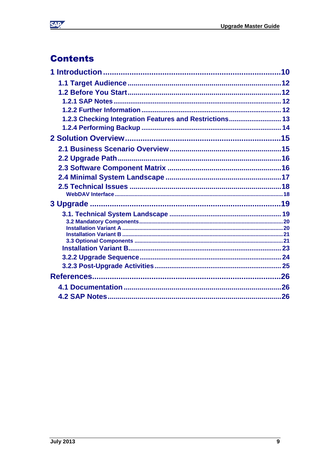## **Contents**

**SAP** 

| 1.2.3 Checking Integration Features and Restrictions 13 |  |
|---------------------------------------------------------|--|
|                                                         |  |
|                                                         |  |
|                                                         |  |
|                                                         |  |
|                                                         |  |
|                                                         |  |
|                                                         |  |
|                                                         |  |
|                                                         |  |
|                                                         |  |
|                                                         |  |
|                                                         |  |
|                                                         |  |
|                                                         |  |
|                                                         |  |
|                                                         |  |
|                                                         |  |
|                                                         |  |
|                                                         |  |
|                                                         |  |

<u> 1980 - Jan Samuel Barbara, político establecente de la provincia de la provincia de la provincia de la provi</u>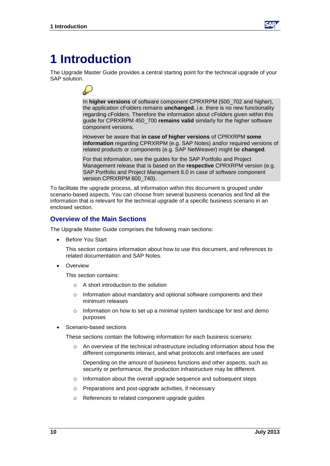

# **1 Introduction**

The Upgrade Master Guide provides a central starting point for the technical upgrade of your SAP solution.

> In **higher versions** of software component CPRXRPM (500\_702 and higher), the application cFolders remains **unchanged**, i.e. there is no new functionality regarding cFolders. Therefore the information about cFolders given within this guide for CPRXRPM 450\_700 **remains valid** similarly for the higher software component versions.

However be aware that **in case of higher versions** of CPRXRPM **some information** regarding CPRXRPM (e.g. SAP Notes) and/or required versions of related products or components (e.g. SAP NetWeaver) might be **changed**.

For that information, see the guides for the SAP Portfolio and Project Management release that is based on the **respective** CPRXRPM version (e.g. SAP Portfolio and Project Management 6.0 in case of software component version CPRXRPM 600\_740).

To facilitate the upgrade process, all information within this document is grouped under scenario-based aspects. You can choose from several business scenarios and find all the information that is relevant for the technical upgrade of a specific business scenario in an enclosed section.

## **Overview of the Main Sections**

The Upgrade Master Guide comprises the following main sections:

Before You Start

This section contains information about how to use this document, and references to related documentation and SAP Notes.

**Overview** 

This section contains:

- A short introduction to the solution
- $\circ$  Information about mandatory and optional software components and their minimum releases
- Information on how to set up a minimal system landscape for test and demo purposes
- Scenario-based sections

These sections contain the following information for each business scenario:

 An overview of the technical infrastructure including information about how the different components interact, and what protocols and interfaces are used

Depending on the amount of business functions and other aspects, such as security or performance, the production infrastructure may be different.

- $\circ$  Information about the overall upgrade sequence and subsequent steps
- Preparations and post-upgrade activities, if necessary
- References to related component upgrade guides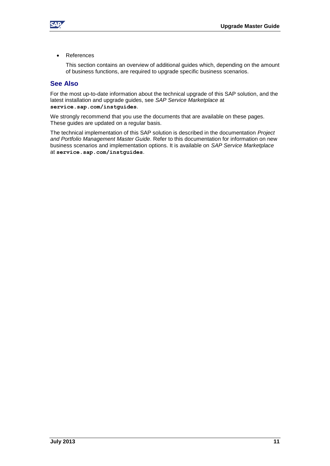



References

This section contains an overview of additional guides which, depending on the amount of business functions, are required to upgrade specific business scenarios.

## **See Also**

For the most up-to-date information about the technical upgrade of this SAP solution, and the latest installation and upgrade guides, see *SAP Service Marketplace* at **service.sap.com/instguides**.

We strongly recommend that you use the documents that are available on these pages. These guides are updated on a regular basis.

The technical implementation of this SAP solution is described in the documentation *Project and Portfolio Management Master Guide*. Refer to this documentation for information on new business scenarios and implementation options. It is available on *SAP Service Marketplace* at **service.sap.com/instguides**.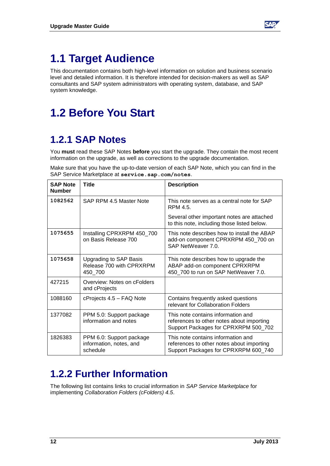

# **1.1 Target Audience**

This documentation contains both high-level information on solution and business scenario level and detailed information. It is therefore intended for decision-makers as well as SAP consultants and SAP system administrators with operating system, database, and SAP system knowledge.

# **1.2 Before You Start**

## **1.2.1 SAP Notes**

You **must** read these SAP Notes **before** you start the upgrade. They contain the most recent information on the upgrade, as well as corrections to the upgrade documentation.

Make sure that you have the up-to-date version of each SAP Note, which you can find in the SAP Service Marketplace at **service.sap.com/notes**.

| <b>SAP Note</b><br><b>Number</b> | <b>Title</b>                                                    | <b>Description</b>                                                                                                      |
|----------------------------------|-----------------------------------------------------------------|-------------------------------------------------------------------------------------------------------------------------|
| 1082562                          | SAP RPM 4.5 Master Note                                         | This note serves as a central note for SAP<br>RPM 4.5.                                                                  |
|                                  |                                                                 | Several other important notes are attached<br>to this note, including those listed below.                               |
| 1075655                          | Installing CPRXRPM 450_700<br>on Basis Release 700              | This note describes how to install the ABAP<br>add-on component CPRXRPM 450_700 on<br>SAP NetWeaver 7.0.                |
| 1075658                          | Upgrading to SAP Basis<br>Release 700 with CPRXRPM<br>450 700   | This note describes how to upgrade the<br>ABAP add-on component CPRXRPM<br>450 700 to run on SAP NetWeaver 7.0.         |
| 427215                           | Overview: Notes on cFolders<br>and cProjects                    |                                                                                                                         |
| 1088160                          | cProjects 4.5 - FAQ Note                                        | Contains frequently asked questions<br>relevant for Collaboration Folders                                               |
| 1377082                          | PPM 5.0: Support package<br>information and notes               | This note contains information and<br>references to other notes about importing<br>Support Packages for CPRXRPM 500_702 |
| 1826383                          | PPM 6.0: Support package<br>information, notes, and<br>schedule | This note contains information and<br>references to other notes about importing<br>Support Packages for CPRXRPM 600_740 |

## **1.2.2 Further Information**

The following list contains links to crucial information in *SAP Service Marketplace* for implementing *Collaboration Folders (cFolders) 4.5*.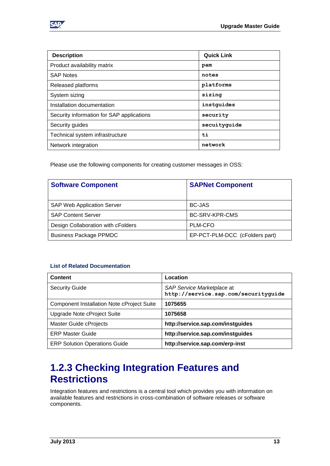

| <b>Description</b>                        | <b>Quick Link</b> |
|-------------------------------------------|-------------------|
| Product availability matrix               | pam               |
| <b>SAP Notes</b>                          | notes             |
| Released platforms                        | platforms         |
| System sizing                             | sizing            |
| Installation documentation                | instquides        |
| Security information for SAP applications | security          |
| Security guides                           | secuityquide      |
| Technical system infrastructure           | ti                |
| Network integration                       | network           |

Please use the following components for creating customer messages in OSS:

| <b>Software Component</b>          | <b>SAPNet Component</b>        |
|------------------------------------|--------------------------------|
| <b>SAP Web Application Server</b>  | BC-JAS                         |
| <b>SAP Content Server</b>          | BC-SRV-KPR-CMS                 |
| Design Collaboration with cFolders | <b>PLM-CFO</b>                 |
| <b>Business Package PPMDC</b>      | EP-PCT-PLM-DCC (cFolders part) |

## **List of Related Documentation**

| <b>Content</b>                                    | Location                                                           |
|---------------------------------------------------|--------------------------------------------------------------------|
| <b>Security Guide</b>                             | SAP Service Marketplace at<br>http://service.sap.com/securityguide |
| <b>Component Installation Note cProject Suite</b> | 1075655                                                            |
| Upgrade Note cProject Suite                       | 1075658                                                            |
| <b>Master Guide cProjects</b>                     | http://service.sap.com/instguides                                  |
| <b>ERP Master Guide</b>                           | http://service.sap.com/instguides                                  |
| <b>ERP Solution Operations Guide</b>              | http://service.sap.com/erp-inst                                    |

## **1.2.3 Checking Integration Features and Restrictions**

Integration features and restrictions is a central tool which provides you with information on available features and restrictions in cross-combination of software releases or software components.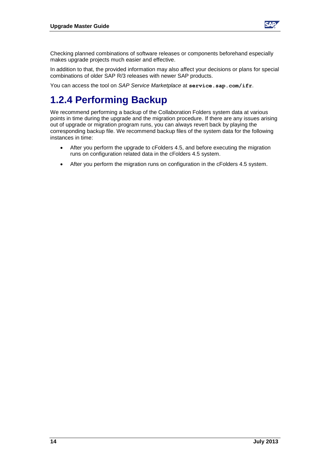

Checking planned combinations of software releases or components beforehand especially makes upgrade projects much easier and effective.

In addition to that, the provided information may also affect your decisions or plans for special combinations of older SAP R/3 releases with newer SAP products.

You can access the tool on *SAP Service Marketplace* at **service.sap.com/ifr**.

## **1.2.4 Performing Backup**

We recommend performing a backup of the Collaboration Folders system data at various points in time during the upgrade and the migration procedure. If there are any issues arising out of upgrade or migration program runs, you can always revert back by playing the corresponding backup file. We recommend backup files of the system data for the following instances in time:

- After you perform the upgrade to cFolders 4.5, and before executing the migration runs on configuration related data in the cFolders 4.5 system.
- After you perform the migration runs on configuration in the cFolders 4.5 system.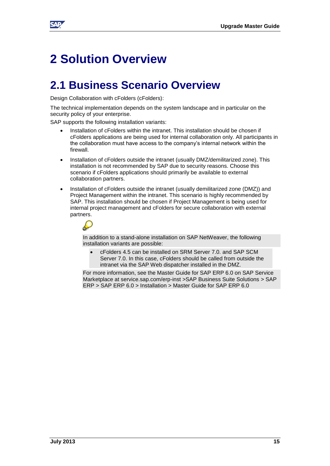

# **2 Solution Overview**

# **2.1 Business Scenario Overview**

Design Collaboration with cFolders (cFolders):

The technical implementation depends on the system landscape and in particular on the security policy of your enterprise.

SAP supports the following installation variants:

- Installation of cFolders within the intranet. This installation should be chosen if cFolders applications are being used for internal collaboration only. All participants in the collaboration must have access to the company's internal network within the firewall.
- Installation of cFolders outside the intranet (usually DMZ/demilitarized zone). This installation is not recommended by SAP due to security reasons. Choose this scenario if cFolders applications should primarily be available to external collaboration partners.
- Installation of cFolders outside the intranet (usually demilitarized zone (DMZ)) and Project Management within the intranet. This scenario is highly recommended by SAP. This installation should be chosen if Project Management is being used for internal project management and cFolders for secure collaboration with external partners.



In addition to a stand-alone installation on SAP NetWeaver, the following installation variants are possible:

 cFolders 4.5 can be installed on SRM Server 7.0. and SAP SCM Server 7.0. In this case, cFolders should be called from outside the intranet via the SAP Web dispatcher installed in the DMZ.

For more information, see the Master Guide for SAP ERP 6.0 on SAP Service Marketplace at service.sap.com/erp-inst >SAP Business Suite Solutions > SAP ERP > SAP ERP 6.0 > Installation > Master Guide for SAP ERP 6.0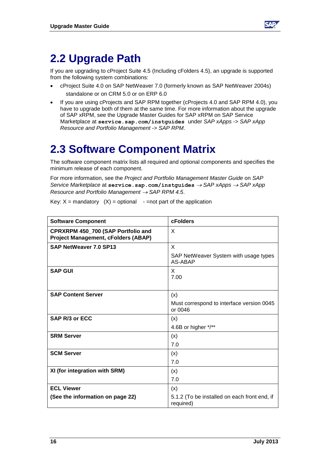

## **2.2 Upgrade Path**

If you are upgrading to cProject Suite 4.5 (Including cFolders 4.5), an upgrade is supported from the following system combinations:

- cProject Suite 4.0 on SAP NetWeaver 7.0 (formerly known as SAP NetWeaver 2004s) standalone or on CRM 5.0 or on ERP 6.0
- If you are using cProjects and SAP RPM together (cProjects 4.0 and SAP RPM 4.0), you have to upgrade both of them at the same time. For more information about the upgrade of SAP xRPM, see the Upgrade Master Guides for SAP xRPM on SAP Service Marketplace at **service.sap.com/instguides** under *SAP xApps* -> *SAP xApp Resource and Portfolio Management* -> *SAP RPM*.

## **2.3 Software Component Matrix**

The software component matrix lists all required and optional components and specifies the minimum release of each component.

For more information, see the *Project and Portfolio Management Master Guide* on *SAP Service Marketplace* at **service.sap.com/instguides** *SAP xApps SAP xApp Resource and Portfolio Management SAP RPM 4.5*.

| <b>Software Component</b>                                                        | cFolders                                                  |
|----------------------------------------------------------------------------------|-----------------------------------------------------------|
| CPRXRPM 450_700 (SAP Portfolio and<br><b>Project Management, cFolders (ABAP)</b> | X                                                         |
| SAP NetWeaver 7.0 SP13                                                           | X                                                         |
|                                                                                  | SAP NetWeaver System with usage types<br>AS-ABAP          |
| <b>SAP GUI</b>                                                                   | X<br>7.00                                                 |
| <b>SAP Content Server</b>                                                        | (x)                                                       |
|                                                                                  | Must correspond to interface version 0045<br>or 0046      |
| SAP R/3 or ECC                                                                   | (x)                                                       |
|                                                                                  | 4.6B or higher */**                                       |
| <b>SRM Server</b>                                                                | (x)                                                       |
|                                                                                  | 7.0                                                       |
| <b>SCM Server</b>                                                                | (x)                                                       |
|                                                                                  | 7.0                                                       |
| XI (for integration with SRM)                                                    | (x)                                                       |
|                                                                                  | 7.0                                                       |
| <b>ECL Viewer</b>                                                                | (x)                                                       |
| (See the information on page 22)                                                 | 5.1.2 (To be installed on each front end, if<br>required) |

Key:  $X =$  mandatory  $(X) =$  optional - =not part of the application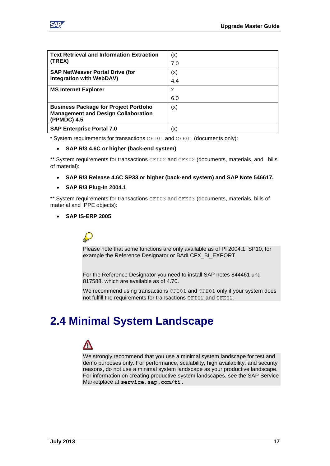

| <b>Text Retrieval and Information Extraction</b><br>(TREX)                                                 | (x) |
|------------------------------------------------------------------------------------------------------------|-----|
|                                                                                                            | 7.0 |
| <b>SAP NetWeaver Portal Drive (for</b>                                                                     | (x) |
| integration with WebDAV)                                                                                   | 4.4 |
| <b>MS Internet Explorer</b>                                                                                | x   |
|                                                                                                            | 6.0 |
| <b>Business Package for Project Portfolio</b><br><b>Management and Design Collaboration</b><br>(PPMDC) 4.5 | (x) |
| <b>SAP Enterprise Portal 7.0</b>                                                                           | (X  |

\* System requirements for transactions CFI01 and CFE01 (documents only):

### **SAP R/3 4.6C or higher (back-end system)**

\*\* System requirements for transactions CFI02 and CFE02 (documents, materials, and bills of material):

**SAP R/3 Release 4.6C SP33 or higher (back-end system) and SAP Note 546617.**

### **SAP R/3 Plug-In 2004.1**

\*\* System requirements for transactions CFI03 and CFE03 (documents, materials, bills of material and IPPE objects):

### **SAP IS-ERP 2005**

Please note that some functions are only available as of PI 2004.1, SP10, for example the Reference Designator or BAdI CFX\_BI\_EXPORT.

For the Reference Designator you need to install SAP notes 844461 und 817588, which are available as of 4.70.

We recommend using transactions CFI01 and CFE01 only if your system does not fulfill the requirements for transactions CFI02 and CFE02.

# **2.4 Minimal System Landscape**

We strongly recommend that you use a minimal system landscape for test and demo purposes only. For performance, scalability, high availability, and security reasons, do not use a minimal system landscape as your productive landscape. For information on creating productive system landscapes, see the SAP Service Marketplace at **service.sap.com/ti.**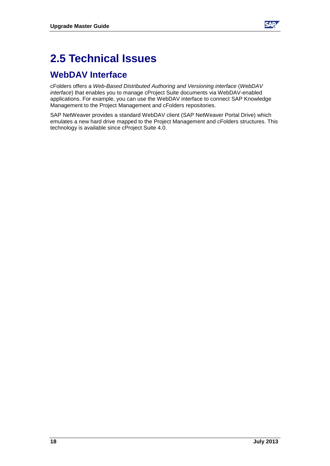

# **2.5 Technical Issues**

## **WebDAV Interface**

cFolders offers a *Web-Based Distributed Authoring and Versioning interface* (*WebDAV interface*) that enables you to manage cProject Suite documents via WebDAV-enabled applications. For example, you can use the WebDAV interface to connect SAP Knowledge Management to the Project Management and cFolders repositories.

SAP NetWeaver provides a standard WebDAV client (SAP NetWeaver Portal Drive) which emulates a new hard drive mapped to the Project Management and cFolders structures. This technology is available since cProject Suite 4.0.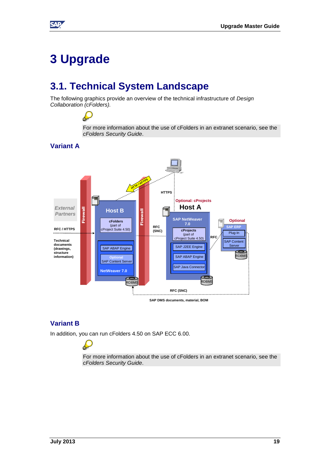

# **3 Upgrade**

## **3.1. Technical System Landscape**

The following graphics provide an overview of the technical infrastructure of *Design Collaboration (cFolders).*



For more information about the use of cFolders in an extranet scenario, see the *cFolders Security Guide*.

## **Variant A**



## **Variant B**

In addition, you can run cFolders 4.50 on SAP ECC 6.00.

For more information about the use of cFolders in an extranet scenario, see the *cFolders Security Guide*.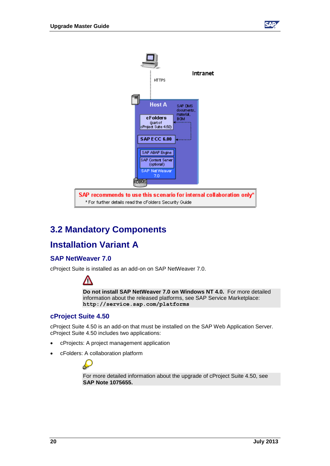



## **3.2 Mandatory Components**

## **Installation Variant A**

## **SAP NetWeaver 7.0**

cProject Suite is installed as an add-on on SAP NetWeaver 7.0.

## Λ

**Do not install SAP NetWeaver 7.0 on Windows NT 4.0.** For more detailed information about the released platforms, see SAP Service Marketplace: **http://service.sap.com/platforms**

## **cProject Suite 4.50**

cProject Suite 4.50 is an add-on that must be installed on the SAP Web Application Server. cProject Suite 4.50 includes two applications:

- cProjects: A project management application
- cFolders: A collaboration platform



For more detailed information about the upgrade of cProject Suite 4.50, see **SAP Note 1075655.**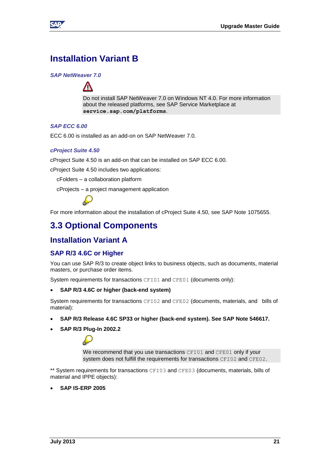

## **Installation Variant B**

### *SAP NetWeaver 7.0*



Do not install SAP NetWeaver 7.0 on Windows NT 4.0. For more information about the released platforms, see SAP Service Marketplace at **service.sap.com/platforms**.

### *SAP ECC 6.00*

ECC 6.00 is installed as an add-on on SAP NetWeaver 7.0.

### *cProject Suite 4.50*

cProject Suite 4.50 is an add-on that can be installed on SAP ECC 6.00.

cProject Suite 4.50 includes two applications:

cFolders – a collaboration platform

cProjects – a project management application



For more information about the installation of cProject Suite 4.50, see SAP Note 1075655.

## **3.3 Optional Components**

## **Installation Variant A**

## **SAP R/3 4.6C or Higher**

You can use SAP R/3 to create object links to business objects, such as documents, material masters, or purchase order items.

System requirements for transactions CFI01 and CFE01 (documents only):

### **SAP R/3 4.6C or higher (back-end system)**

System requirements for transactions CFI02 and CFE02 (documents, materials, and bills of material):

- **SAP R/3 Release 4.6C SP33 or higher (back-end system). See SAP Note 546617.**
- **SAP R/3 Plug-In 2002.2**



We recommend that you use transactions CFI01 and CFE01 only if your system does not fulfill the requirements for transactions CFI02 and CFE02.

\*\* System requirements for transactions CFI03 and CFE03 (documents, materials, bills of material and IPPE objects):

**SAP IS-ERP 2005**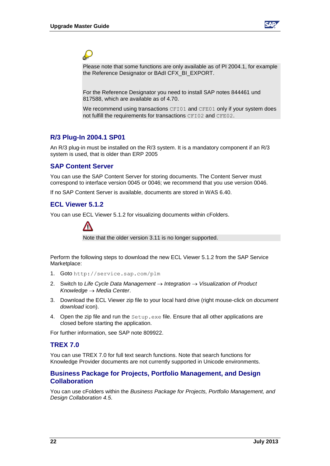

Please note that some functions are only available as of PI 2004.1, for example the Reference Designator or BAdI CFX\_BI\_EXPORT.

For the Reference Designator you need to install SAP notes 844461 und 817588, which are available as of 4.70.

We recommend using transactions CFI01 and CFE01 only if your system does not fulfill the requirements for transactions CFI02 and CFE02.

## **R/3 Plug-In 2004.1 SP01**

An R/3 plug-in must be installed on the R/3 system. It is a mandatory component if an R/3 system is used, that is older than ERP 2005

## **SAP Content Server**

You can use the SAP Content Server for storing documents. The Content Server must correspond to interface version 0045 or 0046; we recommend that you use version 0046.

If no SAP Content Server is available, documents are stored in WAS 6.40.

## <span id="page-21-0"></span>**ECL Viewer 5.1.2**

You can use ECL Viewer 5.1.2 for visualizing documents within cFolders.



Note that the older version 3.11 is no longer supported.

Perform the following steps to download the new ECL Viewer 5.1.2 from the SAP Service Marketplace:

- 1. Goto <http://service.sap.com/plm>
- 2. Switch to *Life Cycle Data Management Integration Visualization of Product Knowledge Media Center*.
- 3. Download the ECL Viewer zip file to your local hard drive (right mouse-click on *document download* icon).
- 4. Open the zip file and run the Setup.exe file. Ensure that all other applications are closed before starting the application.

For further information, see SAP note 809922.

## **TREX 7.0**

You can use TREX 7.0 for full text search functions. Note that search functions for Knowledge Provider documents are not currently supported in Unicode environments.

## **Business Package for Projects, Portfolio Management, and Design Collaboration**

You can use cFolders within the *Business Package for Projects, Portfolio Management, and Design Collaboration 4.5*.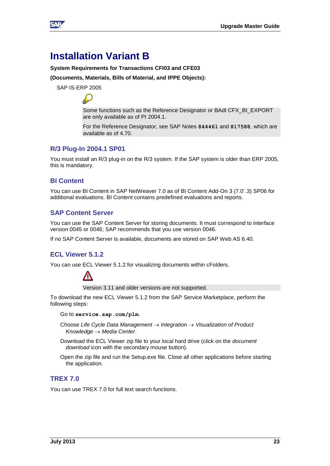

## **Installation Variant B**

**System Requirements for Transactions CFI03 and CFE03**

**(Documents, Materials, Bills of Material, and IPPE Objects):**

SAP IS-ERP 2005



Some functions such as the Reference Designator or BAdI CFX\_BI\_EXPORT are only available as of PI 2004.1.

For the Reference Designator, see SAP Notes **844461** and **817588**, which are available as of 4.70.

## **R/3 Plug-In 2004.1 SP01**

You must install an R/3 plug-in on the R/3 system. If the SAP system is older than ERP 2005, this is mandatory.

## **BI Content**

You can use BI Content in SAP NetWeaver 7.0 as of BI Content Add-On 3 (7.0´.3) SP06 for additional evaluations. BI Content contains predefined evaluations and reports.

## **SAP Content Server**

You can use the SAP Content Server for storing documents. It must correspond to interface version 0045 or 0046; SAP recommends that you use version 0046.

If no SAP Content Server is available, documents are stored on SAP Web AS 6.40.

## **ECL Viewer 5.1.2**

You can use ECL Viewer 5.1.2 for visualizing documents within cFolders.



Version 3.11 and older versions are not supported.

To download the new ECL Viewer 5.1.2 from the SAP Service Marketplace, perform the following steps:

Go to **service.sap.com/plm**.

Choose *Life Cycle Data Management Integration Visualization of Product Knowledge Media Center*.

Download the ECL Viewer zip file to your local hard drive (click on the *document download* icon with the secondary mouse button).

Open the zip file and run the Setup.exe file. Close all other applications before starting the application.

## **TREX 7.0**

You can use TREX 7.0 for full text search functions.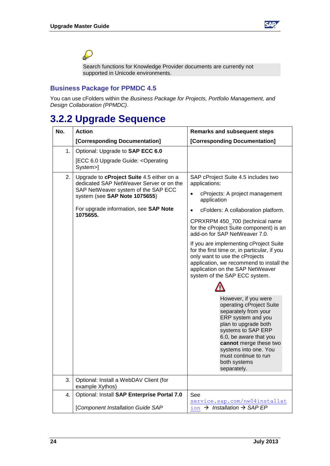

Search functions for Knowledge Provider documents are currently not supported in Unicode environments.

## **Business Package for PPMDC 4.5**

You can use cFolders within the *Business Package for Projects, Portfolio Management, and Design Collaboration (PPMDC)*.

## **3.2.2 Upgrade Sequence**

| No. | <b>Action</b>                                                                                                                                                                                                      | <b>Remarks and subsequent steps</b>                                                                                                                                                                                                                                                                                                                                                                                                                                                                                                                                                                                      |
|-----|--------------------------------------------------------------------------------------------------------------------------------------------------------------------------------------------------------------------|--------------------------------------------------------------------------------------------------------------------------------------------------------------------------------------------------------------------------------------------------------------------------------------------------------------------------------------------------------------------------------------------------------------------------------------------------------------------------------------------------------------------------------------------------------------------------------------------------------------------------|
|     | [Corresponding Documentation]                                                                                                                                                                                      | [Corresponding Documentation]                                                                                                                                                                                                                                                                                                                                                                                                                                                                                                                                                                                            |
| 1.  | Optional: Upgrade to SAP ECC 6.0                                                                                                                                                                                   |                                                                                                                                                                                                                                                                                                                                                                                                                                                                                                                                                                                                                          |
|     | [ECC 6.0 Upgrade Guide: < Operating<br>System>]                                                                                                                                                                    |                                                                                                                                                                                                                                                                                                                                                                                                                                                                                                                                                                                                                          |
| 2.  | Upgrade to cProject Suite 4.5 either on a<br>dedicated SAP NetWeaver Server or on the<br>SAP NetWeaver system of the SAP ECC<br>system (see SAP Note 1075655)<br>For upgrade information, see SAP Note<br>1075655. | SAP cProject Suite 4.5 includes two<br>applications:<br>cProjects: A project management<br>application<br>cFolders: A collaboration platform.<br>$\bullet$<br>CPRXRPM 450_700 (technical name<br>for the cProject Suite component) is an<br>add-on for SAP NetWeaver 7.0.<br>If you are implementing cProject Suite<br>for the first time or, in particular, if you<br>only want to use the cProjects<br>application, we recommend to install the<br>application on the SAP NetWeaver<br>system of the SAP ECC system.<br>However, if you were<br>operating cProject Suite<br>separately from your<br>ERP system and you |
|     |                                                                                                                                                                                                                    | plan to upgrade both<br>systems to SAP ERP<br>6.0, be aware that you<br>cannot merge these two<br>systems into one. You<br>must continue to run<br>both systems<br>separately.                                                                                                                                                                                                                                                                                                                                                                                                                                           |
| 3.  | Optional: Install a WebDAV Client (for<br>example Xythos)                                                                                                                                                          |                                                                                                                                                                                                                                                                                                                                                                                                                                                                                                                                                                                                                          |
| 4.  | Optional: Install SAP Enterprise Portal 7.0                                                                                                                                                                        | See                                                                                                                                                                                                                                                                                                                                                                                                                                                                                                                                                                                                                      |
|     | [Component Installation Guide SAP                                                                                                                                                                                  | service.sap.com/nw04installat<br>$\text{ion} \rightarrow$ Installation $\rightarrow$ SAP EP                                                                                                                                                                                                                                                                                                                                                                                                                                                                                                                              |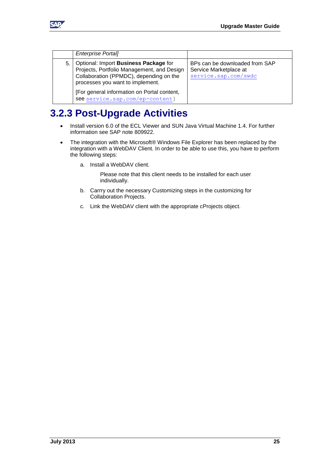

|    | <b>Enterprise Portall</b>                                                                                                                                          |                                                                                  |
|----|--------------------------------------------------------------------------------------------------------------------------------------------------------------------|----------------------------------------------------------------------------------|
| 5. | Optional: Import Business Package for<br>Projects, Portfolio Management, and Design<br>Collaboration (PPMDC), depending on the<br>processes you want to implement. | BPs can be downloaded from SAP<br>Service Marketplace at<br>service.sap.com/swdc |
|    | [For general information on Portal content,<br>See service.sap.com/ep-content]                                                                                     |                                                                                  |

## **3.2.3 Post-Upgrade Activities**

- Install version 6.0 of the ECL Viewer and SUN Java Virtual Machine 1.4. For further information see SAP note 809922.
- The integration with the Microsoft® Windows File Explorer has been replaced by the integration with a WebDAV Client. In order to be able to use this, you have to perform the following steps:
	- a. Install a WebDAV client.

Please note that this client needs to be installed for each user individually.

- b. Carrry out the necessary Customizing steps in the customizing for Collaboration Projects.
- c. Link the WebDAV client with the appropriate cProjects object.